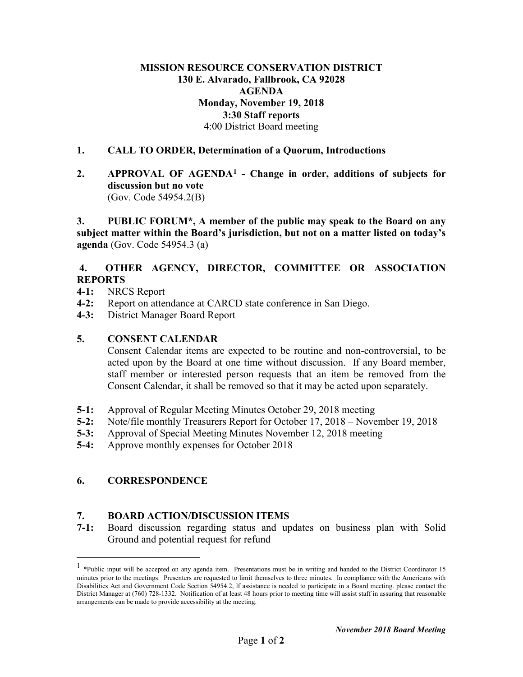## **MISSION RESOURCE CONSERVATION DISTRICT 130 E. Alvarado, Fallbrook, CA 92028 AGENDA Monday, November 19, 2018 3:30 Staff reports** 4:00 District Board meeting

### **1. CALL TO ORDER, Determination of a Quorum, Introductions**

**2. APPROVAL OF AGENDA[1](#page-0-0) - Change in order, additions of subjects for discussion but no vote**  (Gov. Code 54954.2(B)

**3. PUBLIC FORUM\*, A member of the public may speak to the Board on any subject matter within the Board's jurisdiction, but not on a matter listed on today's agenda** (Gov. Code 54954.3 (a)

### **4. OTHER AGENCY, DIRECTOR, COMMITTEE OR ASSOCIATION REPORTS**

- **4-1:** NRCS Report
- **4-2:** Report on attendance at CARCD state conference in San Diego.
- **4-3:** District Manager Board Report

#### **5. CONSENT CALENDAR**

Consent Calendar items are expected to be routine and non-controversial, to be acted upon by the Board at one time without discussion. If any Board member, staff member or interested person requests that an item be removed from the Consent Calendar, it shall be removed so that it may be acted upon separately.

- **5-1:** Approval of Regular Meeting Minutes October 29, 2018 meeting
- **5-2:** Note/file monthly Treasurers Report for October 17, 2018 November 19, 2018
- **5-3:** Approval of Special Meeting Minutes November 12, 2018 meeting
- **5-4:** Approve monthly expenses for October 2018

# **6. CORRESPONDENCE**

# **7. BOARD ACTION/DISCUSSION ITEMS**

**7-1:** Board discussion regarding status and updates on business plan with Solid Ground and potential request for refund

<span id="page-0-0"></span><sup>&</sup>lt;sup>1</sup> \*Public input will be accepted on any agenda item. Presentations must be in writing and handed to the District Coordinator 15 minutes prior to the meetings. Presenters are requested to limit themselves to three minutes. In compliance with the Americans with Disabilities Act and Government Code Section 54954.2, lf assistance is needed to participate in a Board meeting. please contact the District Manager at (760) 728-1332. Notification of at least 48 hours prior to meeting time will assist staff in assuring that reasonable arrangements can be made to provide accessibility at the meeting.